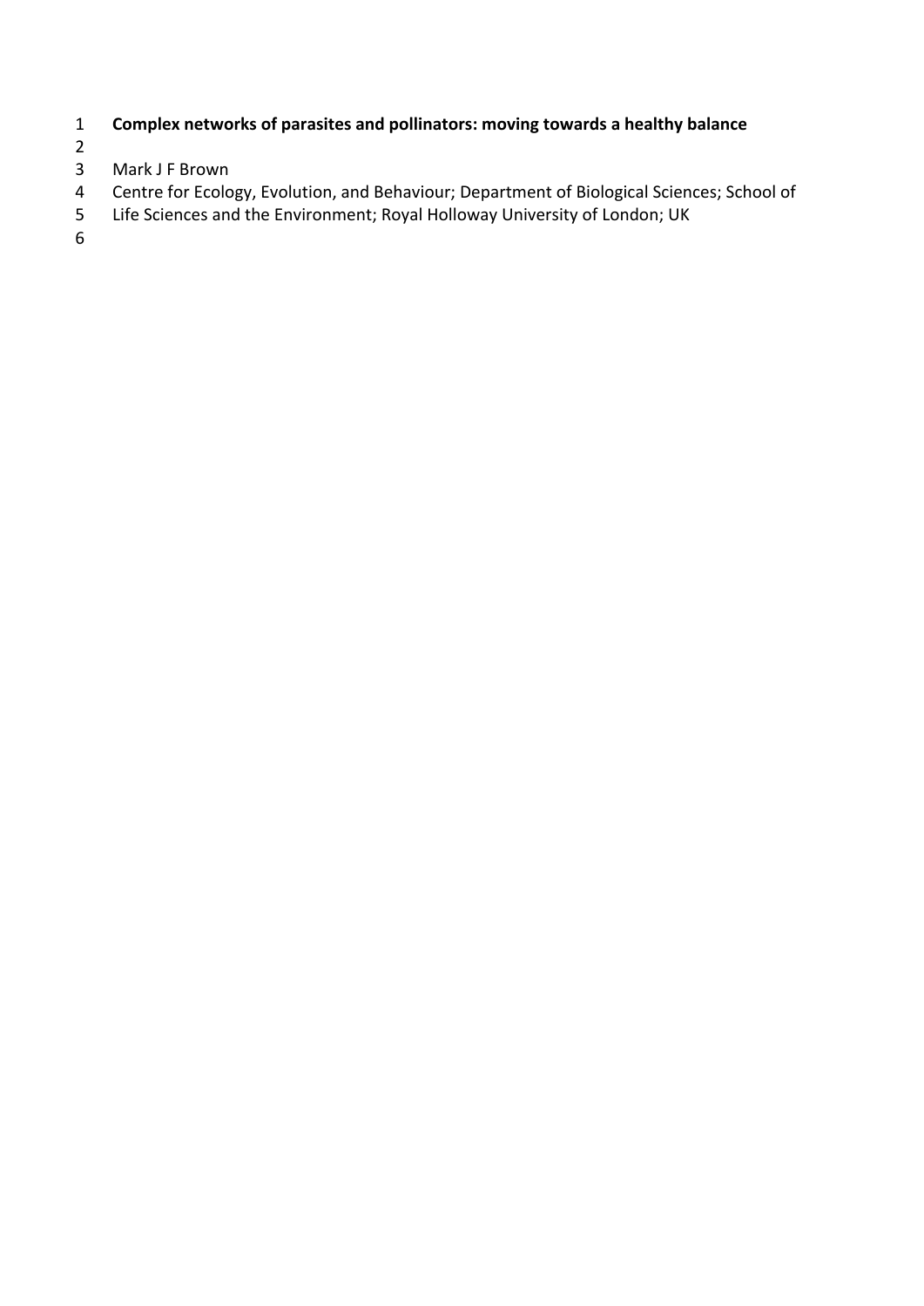## **Complex networks of parasites and pollinators: moving towards a healthy balance**

- $\begin{array}{c} 2 \\ 3 \end{array}$
- Mark J F Brown
- Centre for Ecology, Evolution, and Behaviour; Department of Biological Sciences; School of
- Life Sciences and the Environment; Royal Holloway University of London; UK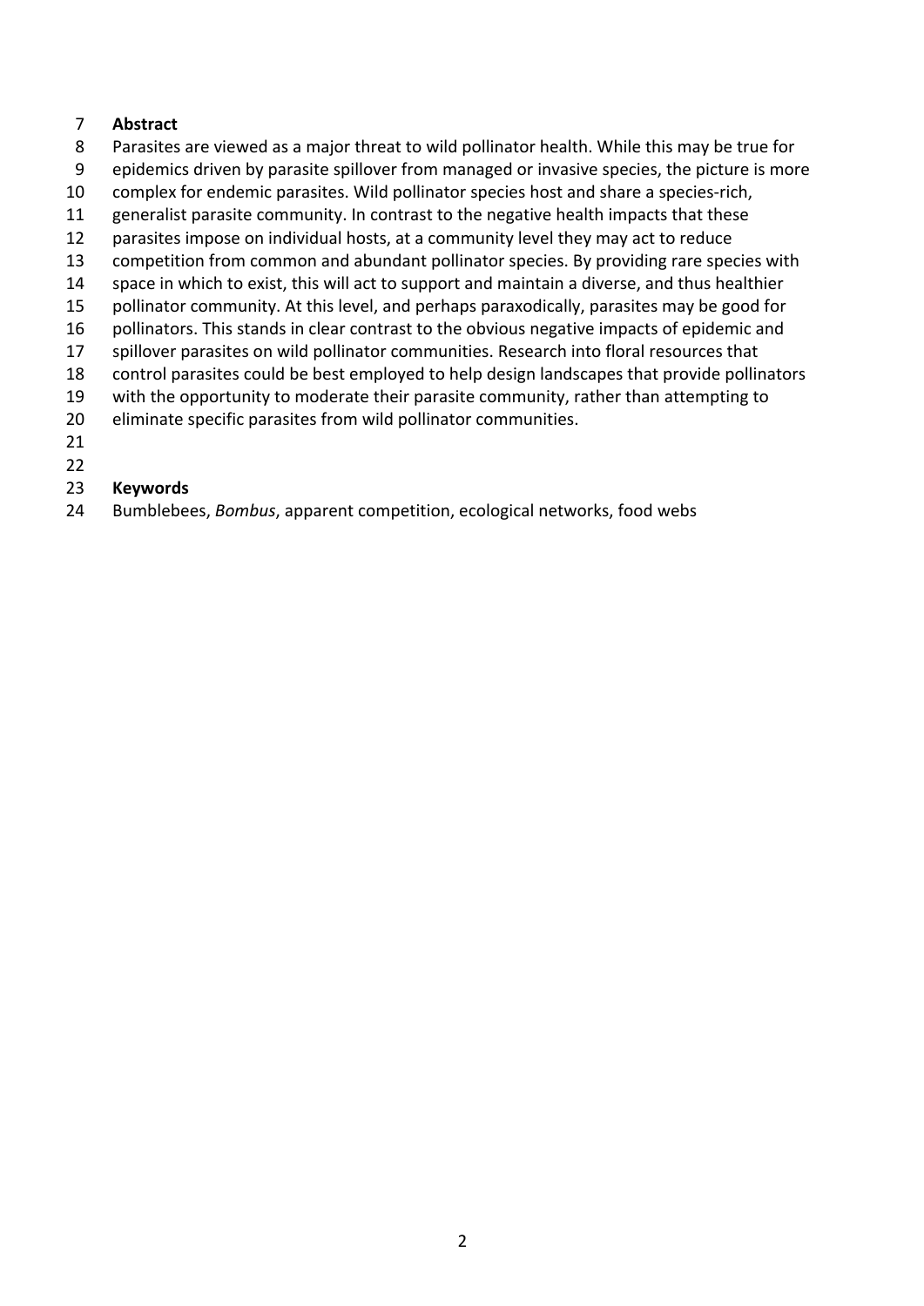#### **Abstract**

- Parasites are viewed as a major threat to wild pollinator health. While this may be true for
- epidemics driven by parasite spillover from managed or invasive species, the picture is more
- complex for endemic parasites. Wild pollinator species host and share a species-rich,
- generalist parasite community. In contrast to the negative health impacts that these
- parasites impose on individual hosts, at a community level they may act to reduce
- competition from common and abundant pollinator species. By providing rare species with
- space in which to exist, this will act to support and maintain a diverse, and thus healthier
- pollinator community. At this level, and perhaps paraxodically, parasites may be good for
- 16 pollinators. This stands in clear contrast to the obvious negative impacts of epidemic and
- spillover parasites on wild pollinator communities. Research into floral resources that
- control parasites could be best employed to help design landscapes that provide pollinators
- with the opportunity to moderate their parasite community, rather than attempting to
- eliminate specific parasites from wild pollinator communities.
- 
- 

### **Keywords**

Bumblebees, *Bombus*, apparent competition, ecological networks, food webs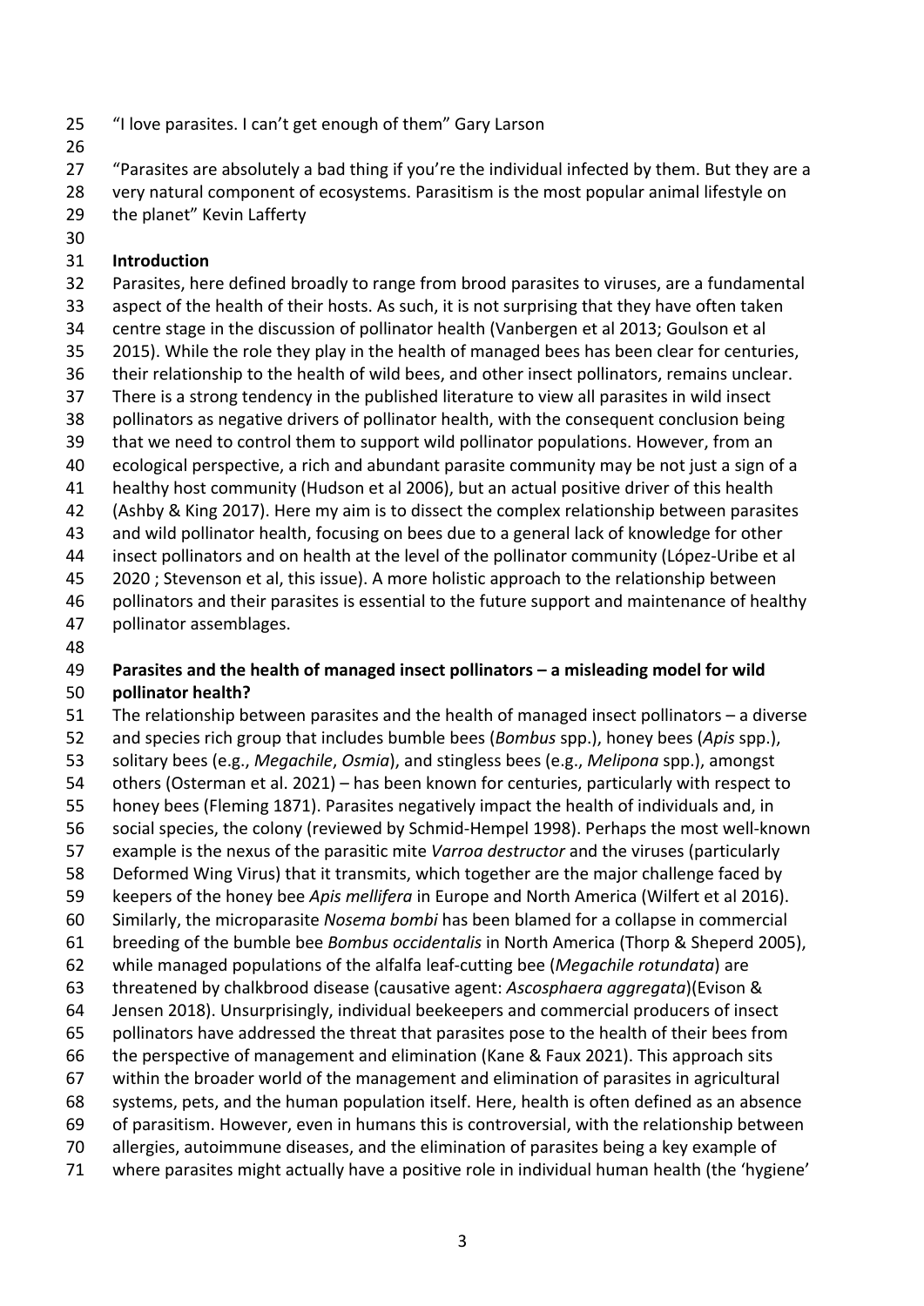- "I love parasites. I can't get enough of them" Gary Larson
- 

 "Parasites are absolutely a bad thing if you're the individual infected by them. But they are a very natural component of ecosystems. Parasitism is the most popular animal lifestyle on

- the planet" Kevin Lafferty
- 

### **Introduction**

 Parasites, here defined broadly to range from brood parasites to viruses, are a fundamental aspect of the health of their hosts. As such, it is not surprising that they have often taken centre stage in the discussion of pollinator health (Vanbergen et al 2013; Goulson et al 2015). While the role they play in the health of managed bees has been clear for centuries, their relationship to the health of wild bees, and other insect pollinators, remains unclear. There is a strong tendency in the published literature to view all parasites in wild insect pollinators as negative drivers of pollinator health, with the consequent conclusion being that we need to control them to support wild pollinator populations. However, from an ecological perspective, a rich and abundant parasite community may be not just a sign of a healthy host community (Hudson et al 2006), but an actual positive driver of this health (Ashby & King 2017). Here my aim is to dissect the complex relationship between parasites 43 and wild pollinator health, focusing on bees due to a general lack of knowledge for other insect pollinators and on health at the level of the pollinator community (López-Uribe et al 45 2020; Stevenson et al, this issue). A more holistic approach to the relationship between pollinators and their parasites is essential to the future support and maintenance of healthy pollinator assemblages.

### **Parasites and the health of managed insect pollinators – a misleading model for wild pollinator health?**

 The relationship between parasites and the health of managed insect pollinators – a diverse and species rich group that includes bumble bees (*Bombus* spp.), honey bees (*Apis* spp.), solitary bees (e.g., *Megachile*, *Osmia*), and stingless bees (e.g., *Melipona* spp.), amongst others (Osterman et al. 2021) – has been known for centuries, particularly with respect to honey bees (Fleming 1871). Parasites negatively impact the health of individuals and, in social species, the colony (reviewed by Schmid-Hempel 1998). Perhaps the most well-known example is the nexus of the parasitic mite *Varroa destructor* and the viruses (particularly Deformed Wing Virus) that it transmits, which together are the major challenge faced by keepers of the honey bee *Apis mellifera* in Europe and North America (Wilfert et al 2016). Similarly, the microparasite *Nosema bombi* has been blamed for a collapse in commercial breeding of the bumble bee *Bombus occidentalis* in North America (Thorp & Sheperd 2005), while managed populations of the alfalfa leaf-cutting bee (*Megachile rotundata*) are threatened by chalkbrood disease (causative agent: *Ascosphaera aggregata*)(Evison & Jensen 2018). Unsurprisingly, individual beekeepers and commercial producers of insect pollinators have addressed the threat that parasites pose to the health of their bees from the perspective of management and elimination (Kane & Faux 2021). This approach sits within the broader world of the management and elimination of parasites in agricultural systems, pets, and the human population itself. Here, health is often defined as an absence of parasitism. However, even in humans this is controversial, with the relationship between allergies, autoimmune diseases, and the elimination of parasites being a key example of where parasites might actually have a positive role in individual human health (the 'hygiene'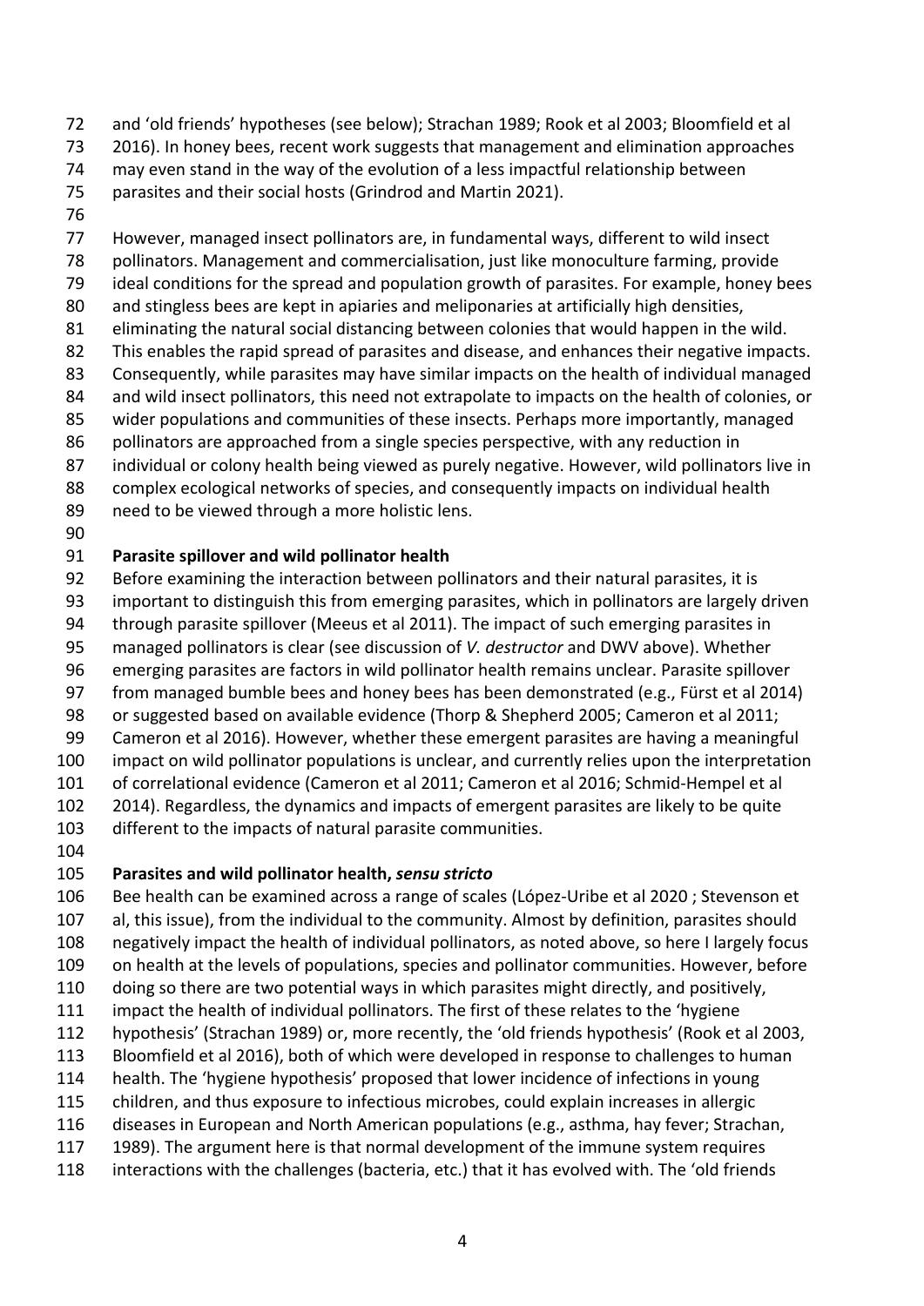- and 'old friends' hypotheses (see below); Strachan 1989; Rook et al 2003; Bloomfield et al
- 2016). In honey bees, recent work suggests that management and elimination approaches
- may even stand in the way of the evolution of a less impactful relationship between
- parasites and their social hosts (Grindrod and Martin 2021).
- 

 However, managed insect pollinators are, in fundamental ways, different to wild insect pollinators. Management and commercialisation, just like monoculture farming, provide ideal conditions for the spread and population growth of parasites. For example, honey bees 80 and stingless bees are kept in apiaries and meliponaries at artificially high densities, eliminating the natural social distancing between colonies that would happen in the wild. This enables the rapid spread of parasites and disease, and enhances their negative impacts. Consequently, while parasites may have similar impacts on the health of individual managed 84 and wild insect pollinators, this need not extrapolate to impacts on the health of colonies, or

- wider populations and communities of these insects. Perhaps more importantly, managed
- pollinators are approached from a single species perspective, with any reduction in
- individual or colony health being viewed as purely negative. However, wild pollinators live in
- complex ecological networks of species, and consequently impacts on individual health
- need to be viewed through a more holistic lens.
- 

# **Parasite spillover and wild pollinator health**

- Before examining the interaction between pollinators and their natural parasites, it is
- important to distinguish this from emerging parasites, which in pollinators are largely driven
- through parasite spillover (Meeus et al 2011). The impact of such emerging parasites in
- managed pollinators is clear (see discussion of *V. destructor* and DWV above). Whether
- emerging parasites are factors in wild pollinator health remains unclear. Parasite spillover
- from managed bumble bees and honey bees has been demonstrated (e.g., Fürst et al 2014)
- or suggested based on available evidence (Thorp & Shepherd 2005; Cameron et al 2011; Cameron et al 2016). However, whether these emergent parasites are having a meaningful
- impact on wild pollinator populations is unclear, and currently relies upon the interpretation
- of correlational evidence (Cameron et al 2011; Cameron et al 2016; Schmid-Hempel et al
- 2014). Regardless, the dynamics and impacts of emergent parasites are likely to be quite
- different to the impacts of natural parasite communities.
- 

# **Parasites and wild pollinator health,** *sensu stricto*

 Bee health can be examined across a range of scales (López-Uribe et al 2020 ; Stevenson et al, this issue), from the individual to the community. Almost by definition, parasites should negatively impact the health of individual pollinators, as noted above, so here I largely focus on health at the levels of populations, species and pollinator communities. However, before doing so there are two potential ways in which parasites might directly, and positively, impact the health of individual pollinators. The first of these relates to the 'hygiene hypothesis' (Strachan 1989) or, more recently, the 'old friends hypothesis' (Rook et al 2003, Bloomfield et al 2016), both of which were developed in response to challenges to human health. The 'hygiene hypothesis' proposed that lower incidence of infections in young children, and thus exposure to infectious microbes, could explain increases in allergic diseases in European and North American populations (e.g., asthma, hay fever; Strachan, 1989). The argument here is that normal development of the immune system requires interactions with the challenges (bacteria, etc.) that it has evolved with. The 'old friends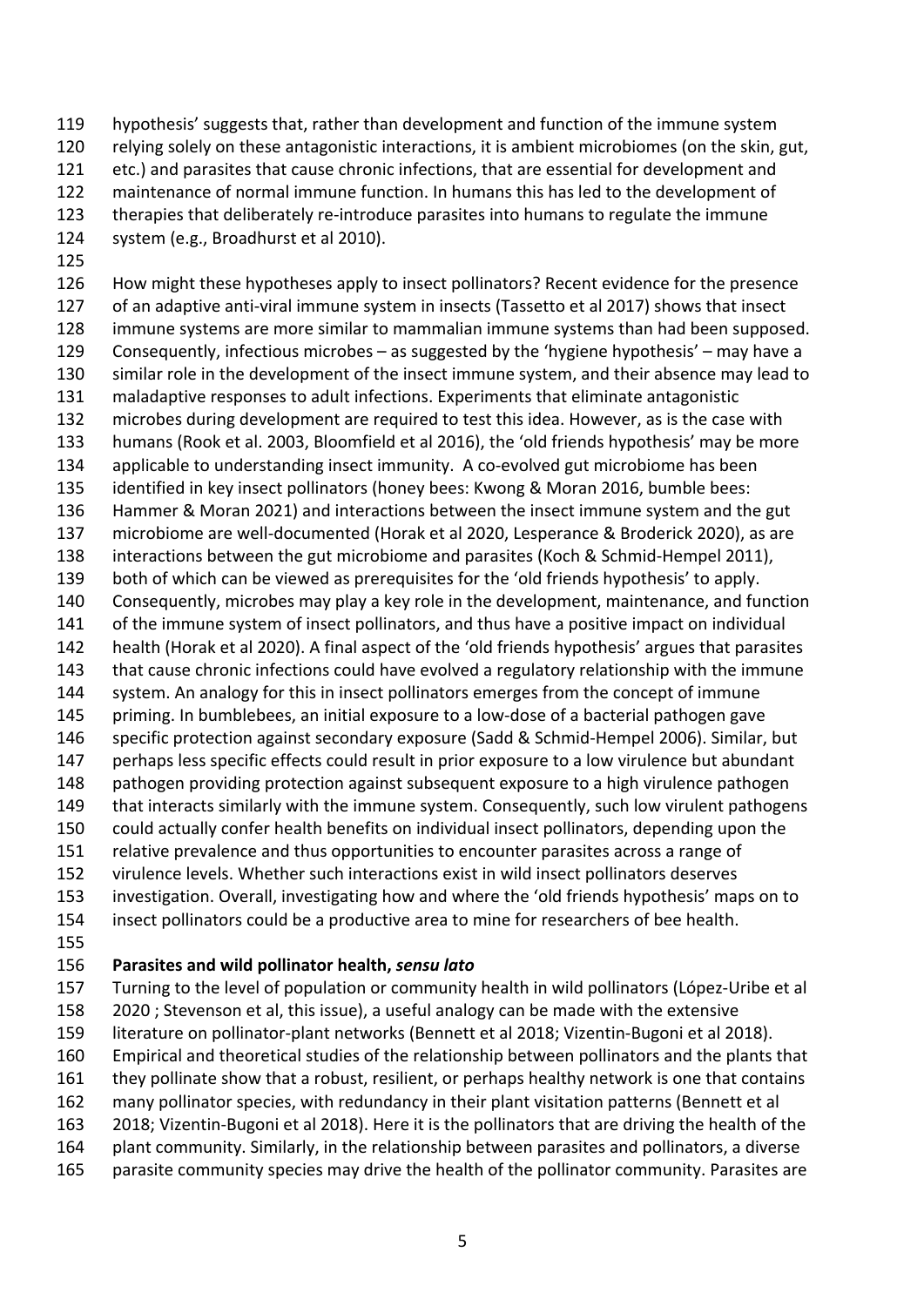- hypothesis' suggests that, rather than development and function of the immune system
- relying solely on these antagonistic interactions, it is ambient microbiomes (on the skin, gut,
- etc.) and parasites that cause chronic infections, that are essential for development and
- maintenance of normal immune function. In humans this has led to the development of
- therapies that deliberately re-introduce parasites into humans to regulate the immune
- system (e.g., Broadhurst et al 2010).
- 

 How might these hypotheses apply to insect pollinators? Recent evidence for the presence of an adaptive anti-viral immune system in insects (Tassetto et al 2017) shows that insect immune systems are more similar to mammalian immune systems than had been supposed. Consequently, infectious microbes – as suggested by the 'hygiene hypothesis' – may have a similar role in the development of the insect immune system, and their absence may lead to maladaptive responses to adult infections. Experiments that eliminate antagonistic microbes during development are required to test this idea. However, as is the case with humans (Rook et al. 2003, Bloomfield et al 2016), the 'old friends hypothesis' may be more applicable to understanding insect immunity. A co-evolved gut microbiome has been identified in key insect pollinators (honey bees: Kwong & Moran 2016, bumble bees: Hammer & Moran 2021) and interactions between the insect immune system and the gut microbiome are well-documented (Horak et al 2020, Lesperance & Broderick 2020), as are interactions between the gut microbiome and parasites (Koch & Schmid-Hempel 2011), both of which can be viewed as prerequisites for the 'old friends hypothesis' to apply. Consequently, microbes may play a key role in the development, maintenance, and function 141 of the immune system of insect pollinators, and thus have a positive impact on individual health (Horak et al 2020). A final aspect of the 'old friends hypothesis' argues that parasites that cause chronic infections could have evolved a regulatory relationship with the immune system. An analogy for this in insect pollinators emerges from the concept of immune priming. In bumblebees, an initial exposure to a low-dose of a bacterial pathogen gave specific protection against secondary exposure (Sadd & Schmid-Hempel 2006). Similar, but perhaps less specific effects could result in prior exposure to a low virulence but abundant pathogen providing protection against subsequent exposure to a high virulence pathogen 149 that interacts similarly with the immune system. Consequently, such low virulent pathogens could actually confer health benefits on individual insect pollinators, depending upon the relative prevalence and thus opportunities to encounter parasites across a range of virulence levels. Whether such interactions exist in wild insect pollinators deserves investigation. Overall, investigating how and where the 'old friends hypothesis' maps on to insect pollinators could be a productive area to mine for researchers of bee health. 

**Parasites and wild pollinator health,** *sensu lato*

 Turning to the level of population or community health in wild pollinators (López-Uribe et al 2020 ; Stevenson et al, this issue), a useful analogy can be made with the extensive literature on pollinator-plant networks (Bennett et al 2018; Vizentin-Bugoni et al 2018). Empirical and theoretical studies of the relationship between pollinators and the plants that they pollinate show that a robust, resilient, or perhaps healthy network is one that contains many pollinator species, with redundancy in their plant visitation patterns (Bennett et al 2018; Vizentin-Bugoni et al 2018). Here it is the pollinators that are driving the health of the plant community. Similarly, in the relationship between parasites and pollinators, a diverse parasite community species may drive the health of the pollinator community. Parasites are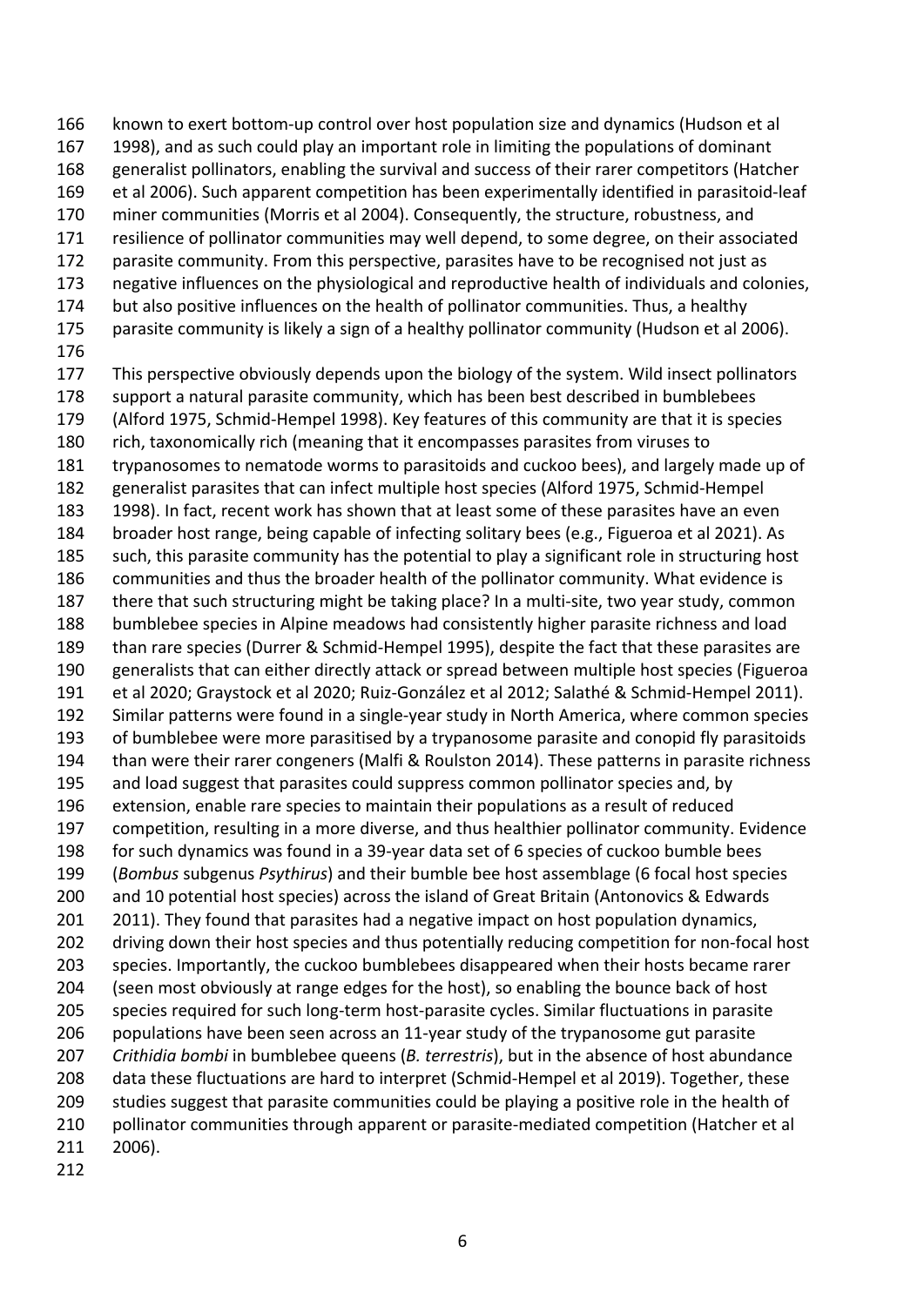known to exert bottom-up control over host population size and dynamics (Hudson et al 1998), and as such could play an important role in limiting the populations of dominant generalist pollinators, enabling the survival and success of their rarer competitors (Hatcher et al 2006). Such apparent competition has been experimentally identified in parasitoid-leaf miner communities (Morris et al 2004). Consequently, the structure, robustness, and resilience of pollinator communities may well depend, to some degree, on their associated parasite community. From this perspective, parasites have to be recognised not just as negative influences on the physiological and reproductive health of individuals and colonies, but also positive influences on the health of pollinator communities. Thus, a healthy parasite community is likely a sign of a healthy pollinator community (Hudson et al 2006). 177 This perspective obviously depends upon the biology of the system. Wild insect pollinators support a natural parasite community, which has been best described in bumblebees (Alford 1975, Schmid-Hempel 1998). Key features of this community are that it is species rich, taxonomically rich (meaning that it encompasses parasites from viruses to trypanosomes to nematode worms to parasitoids and cuckoo bees), and largely made up of generalist parasites that can infect multiple host species (Alford 1975, Schmid-Hempel 1998). In fact, recent work has shown that at least some of these parasites have an even broader host range, being capable of infecting solitary bees (e.g., Figueroa et al 2021). As 185 such, this parasite community has the potential to play a significant role in structuring host communities and thus the broader health of the pollinator community. What evidence is there that such structuring might be taking place? In a multi-site, two year study, common bumblebee species in Alpine meadows had consistently higher parasite richness and load than rare species (Durrer & Schmid-Hempel 1995), despite the fact that these parasites are generalists that can either directly attack or spread between multiple host species (Figueroa et al 2020; Graystock et al 2020; Ruiz-González et al 2012; Salathé & Schmid-Hempel 2011). Similar patterns were found in a single-year study in North America, where common species of bumblebee were more parasitised by a trypanosome parasite and conopid fly parasitoids than were their rarer congeners (Malfi & Roulston 2014). These patterns in parasite richness and load suggest that parasites could suppress common pollinator species and, by extension, enable rare species to maintain their populations as a result of reduced competition, resulting in a more diverse, and thus healthier pollinator community. Evidence for such dynamics was found in a 39-year data set of 6 species of cuckoo bumble bees (*Bombus* subgenus *Psythirus*) and their bumble bee host assemblage (6 focal host species and 10 potential host species) across the island of Great Britain (Antonovics & Edwards 201 2011). They found that parasites had a negative impact on host population dynamics, 202 driving down their host species and thus potentially reducing competition for non-focal host species. Importantly, the cuckoo bumblebees disappeared when their hosts became rarer (seen most obviously at range edges for the host), so enabling the bounce back of host species required for such long-term host-parasite cycles. Similar fluctuations in parasite populations have been seen across an 11-year study of the trypanosome gut parasite *Crithidia bombi* in bumblebee queens (*B. terrestris*), but in the absence of host abundance data these fluctuations are hard to interpret (Schmid-Hempel et al 2019). Together, these studies suggest that parasite communities could be playing a positive role in the health of 210 pollinator communities through apparent or parasite-mediated competition (Hatcher et al 2006).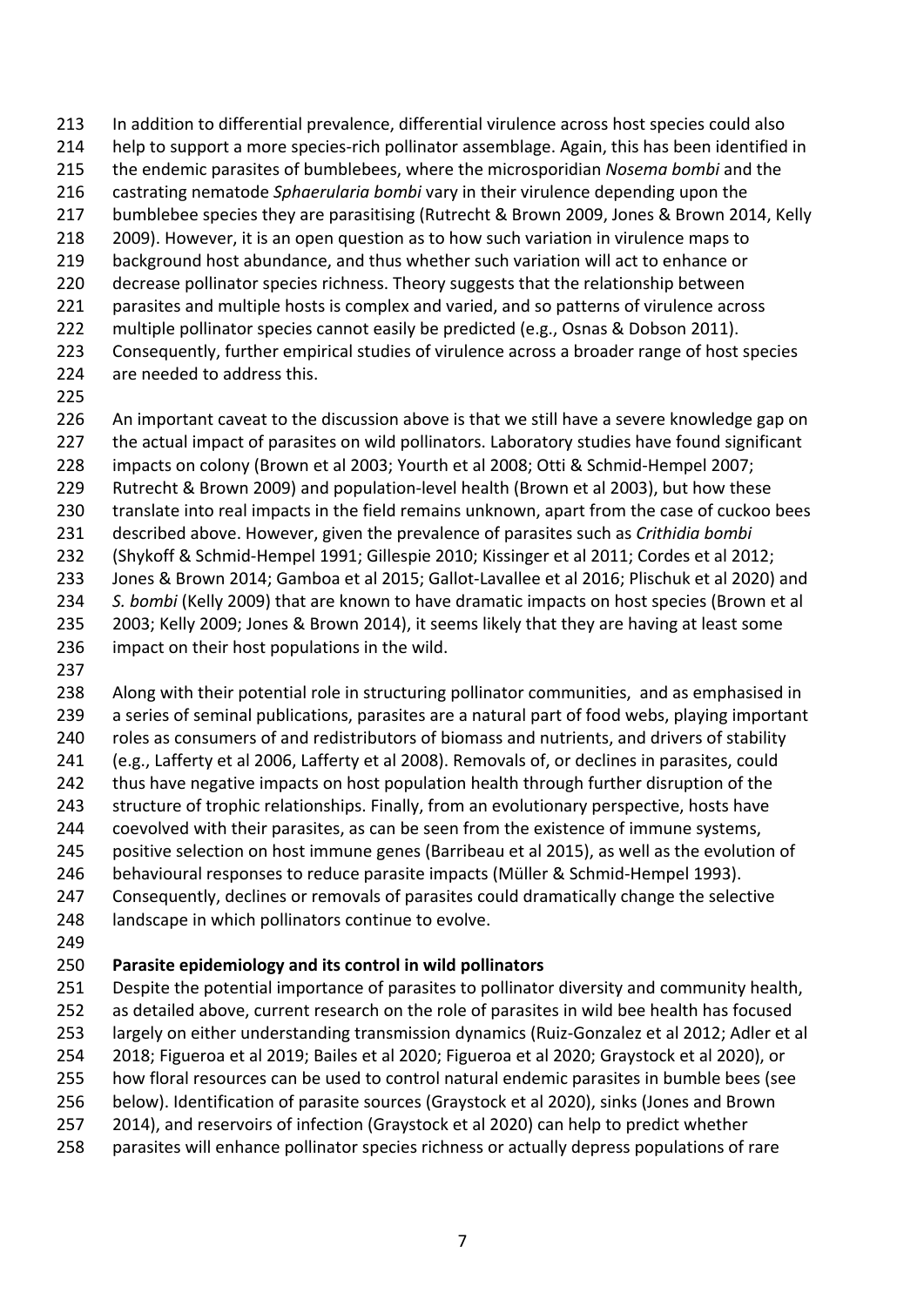help to support a more species-rich pollinator assemblage. Again, this has been identified in the endemic parasites of bumblebees, where the microsporidian *Nosema bombi* and the castrating nematode *Sphaerularia bombi* vary in their virulence depending upon the bumblebee species they are parasitising (Rutrecht & Brown 2009, Jones & Brown 2014, Kelly 2009). However, it is an open question as to how such variation in virulence maps to background host abundance, and thus whether such variation will act to enhance or decrease pollinator species richness. Theory suggests that the relationship between parasites and multiple hosts is complex and varied, and so patterns of virulence across multiple pollinator species cannot easily be predicted (e.g., Osnas & Dobson 2011). Consequently, further empirical studies of virulence across a broader range of host species

In addition to differential prevalence, differential virulence across host species could also

- are needed to address this.
- 

An important caveat to the discussion above is that we still have a severe knowledge gap on

227 the actual impact of parasites on wild pollinators. Laboratory studies have found significant

- impacts on colony (Brown et al 2003; Yourth et al 2008; Otti & Schmid-Hempel 2007;
- Rutrecht & Brown 2009) and population-level health (Brown et al 2003), but how these
- translate into real impacts in the field remains unknown, apart from the case of cuckoo bees
- described above. However, given the prevalence of parasites such as *Crithidia bombi*
- (Shykoff & Schmid-Hempel 1991; Gillespie 2010; Kissinger et al 2011; Cordes et al 2012;
- Jones & Brown 2014; Gamboa et al 2015; Gallot-Lavallee et al 2016; Plischuk et al 2020) and
- *S. bombi* (Kelly 2009) that are known to have dramatic impacts on host species (Brown et al 2003; Kelly 2009; Jones & Brown 2014), it seems likely that they are having at least some
- impact on their host populations in the wild.
- 

 Along with their potential role in structuring pollinator communities, and as emphasised in a series of seminal publications, parasites are a natural part of food webs, playing important 240 roles as consumers of and redistributors of biomass and nutrients, and drivers of stability (e.g., Lafferty et al 2006, Lafferty et al 2008). Removals of, or declines in parasites, could thus have negative impacts on host population health through further disruption of the 243 structure of trophic relationships. Finally, from an evolutionary perspective, hosts have coevolved with their parasites, as can be seen from the existence of immune systems, positive selection on host immune genes (Barribeau et al 2015), as well as the evolution of behavioural responses to reduce parasite impacts (Müller & Schmid-Hempel 1993). Consequently, declines or removals of parasites could dramatically change the selective

- landscape in which pollinators continue to evolve.
- 

### **Parasite epidemiology and its control in wild pollinators**

 Despite the potential importance of parasites to pollinator diversity and community health, as detailed above, current research on the role of parasites in wild bee health has focused largely on either understanding transmission dynamics (Ruiz-Gonzalez et al 2012; Adler et al 2018; Figueroa et al 2019; Bailes et al 2020; Figueroa et al 2020; Graystock et al 2020), or how floral resources can be used to control natural endemic parasites in bumble bees (see below). Identification of parasite sources (Graystock et al 2020), sinks (Jones and Brown 2014), and reservoirs of infection (Graystock et al 2020) can help to predict whether parasites will enhance pollinator species richness or actually depress populations of rare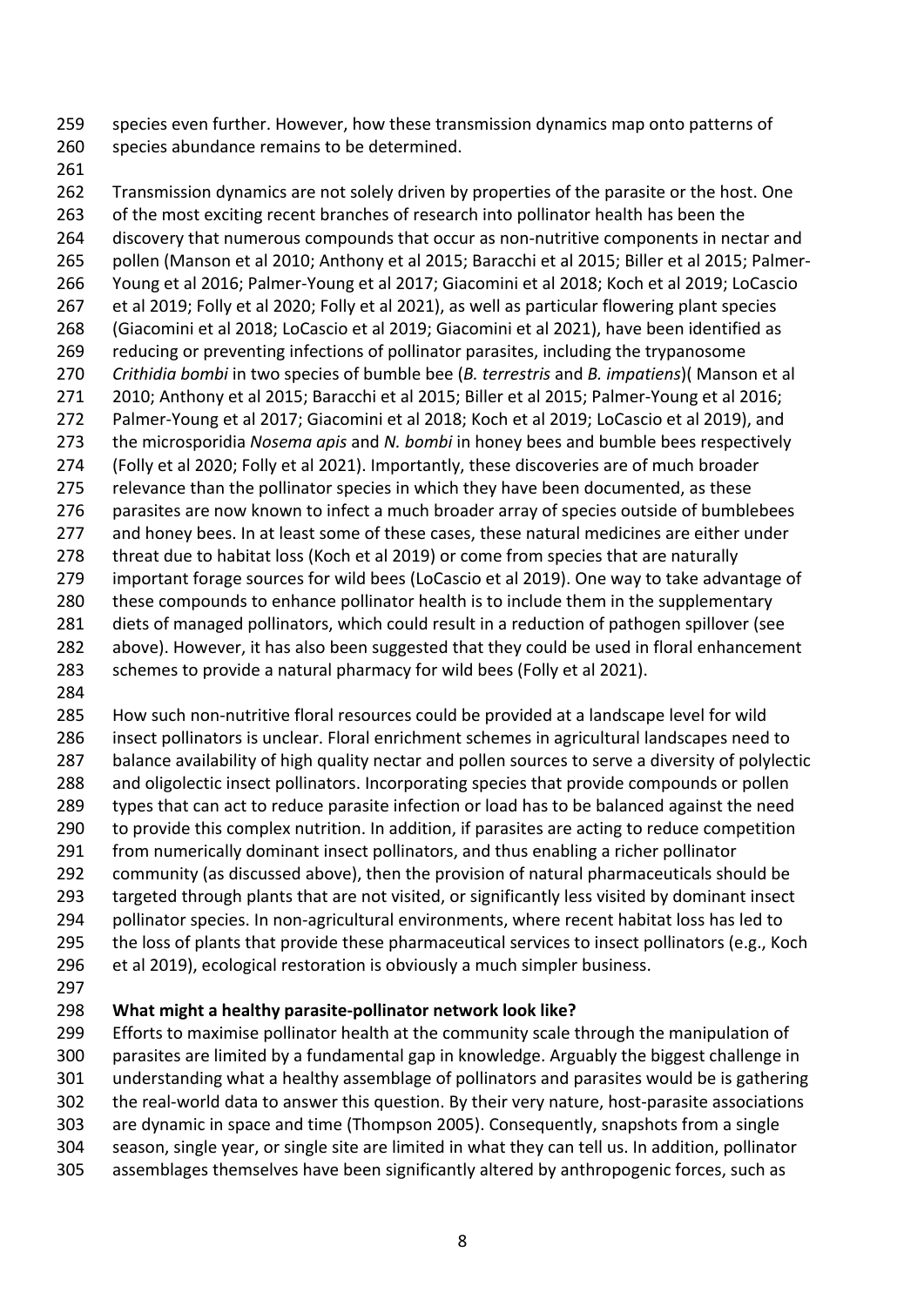species even further. However, how these transmission dynamics map onto patterns of species abundance remains to be determined.

262 Transmission dynamics are not solely driven by properties of the parasite or the host. One 263 of the most exciting recent branches of research into pollinator health has been the discovery that numerous compounds that occur as non-nutritive components in nectar and pollen (Manson et al 2010; Anthony et al 2015; Baracchi et al 2015; Biller et al 2015; Palmer- Young et al 2016; Palmer-Young et al 2017; Giacomini et al 2018; Koch et al 2019; LoCascio et al 2019; Folly et al 2020; Folly et al 2021), as well as particular flowering plant species (Giacomini et al 2018; LoCascio et al 2019; Giacomini et al 2021), have been identified as reducing or preventing infections of pollinator parasites, including the trypanosome *Crithidia bombi* in two species of bumble bee (*B. terrestris* and *B. impatiens*)( Manson et al 2010; Anthony et al 2015; Baracchi et al 2015; Biller et al 2015; Palmer-Young et al 2016; Palmer-Young et al 2017; Giacomini et al 2018; Koch et al 2019; LoCascio et al 2019), and the microsporidia *Nosema apis* and *N. bombi* in honey bees and bumble bees respectively (Folly et al 2020; Folly et al 2021). Importantly, these discoveries are of much broader relevance than the pollinator species in which they have been documented, as these parasites are now known to infect a much broader array of species outside of bumblebees 277 and honey bees. In at least some of these cases, these natural medicines are either under threat due to habitat loss (Koch et al 2019) or come from species that are naturally important forage sources for wild bees (LoCascio et al 2019). One way to take advantage of 280 these compounds to enhance pollinator health is to include them in the supplementary 281 diets of managed pollinators, which could result in a reduction of pathogen spillover (see above). However, it has also been suggested that they could be used in floral enhancement schemes to provide a natural pharmacy for wild bees (Folly et al 2021).

 How such non-nutritive floral resources could be provided at a landscape level for wild insect pollinators is unclear. Floral enrichment schemes in agricultural landscapes need to balance availability of high quality nectar and pollen sources to serve a diversity of polylectic and oligolectic insect pollinators. Incorporating species that provide compounds or pollen types that can act to reduce parasite infection or load has to be balanced against the need to provide this complex nutrition. In addition, if parasites are acting to reduce competition from numerically dominant insect pollinators, and thus enabling a richer pollinator community (as discussed above), then the provision of natural pharmaceuticals should be targeted through plants that are not visited, or significantly less visited by dominant insect pollinator species. In non-agricultural environments, where recent habitat loss has led to 295 the loss of plants that provide these pharmaceutical services to insect pollinators (e.g., Koch

- et al 2019), ecological restoration is obviously a much simpler business.
- 

# **What might a healthy parasite-pollinator network look like?**

 Efforts to maximise pollinator health at the community scale through the manipulation of parasites are limited by a fundamental gap in knowledge. Arguably the biggest challenge in understanding what a healthy assemblage of pollinators and parasites would be is gathering the real-world data to answer this question. By their very nature, host-parasite associations are dynamic in space and time (Thompson 2005). Consequently, snapshots from a single season, single year, or single site are limited in what they can tell us. In addition, pollinator assemblages themselves have been significantly altered by anthropogenic forces, such as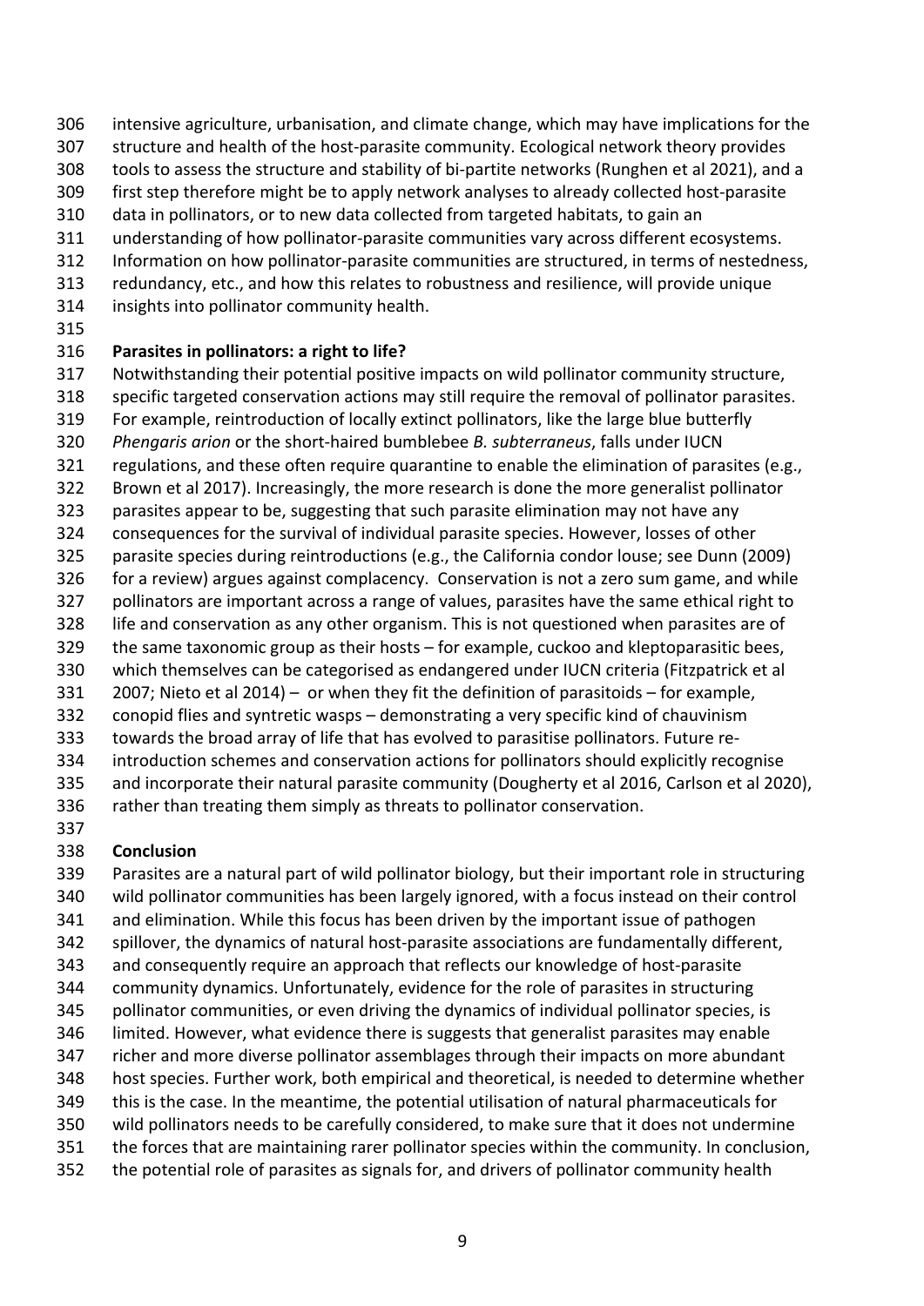- intensive agriculture, urbanisation, and climate change, which may have implications for the
- structure and health of the host-parasite community. Ecological network theory provides
- tools to assess the structure and stability of bi-partite networks (Runghen et al 2021), and a
- first step therefore might be to apply network analyses to already collected host-parasite
- data in pollinators, or to new data collected from targeted habitats, to gain an
- understanding of how pollinator-parasite communities vary across different ecosystems.
- Information on how pollinator-parasite communities are structured, in terms of nestedness,
- redundancy, etc., and how this relates to robustness and resilience, will provide unique
- insights into pollinator community health.
- 

### **Parasites in pollinators: a right to life?**

- Notwithstanding their potential positive impacts on wild pollinator community structure,
- specific targeted conservation actions may still require the removal of pollinator parasites.
- For example, reintroduction of locally extinct pollinators, like the large blue butterfly
- *Phengaris arion* or the short-haired bumblebee *B. subterraneus*, falls under IUCN
- regulations, and these often require quarantine to enable the elimination of parasites (e.g.,
- Brown et al 2017). Increasingly, the more research is done the more generalist pollinator
- parasites appear to be, suggesting that such parasite elimination may not have any
- consequences for the survival of individual parasite species. However, losses of other
- parasite species during reintroductions (e.g., the California condor louse; see Dunn (2009)
- for a review) argues against complacency. Conservation is not a zero sum game, and while
- pollinators are important across a range of values, parasites have the same ethical right to
- life and conservation as any other organism. This is not questioned when parasites are of the same taxonomic group as their hosts – for example, cuckoo and kleptoparasitic bees,
- which themselves can be categorised as endangered under IUCN criteria (Fitzpatrick et al
- 2007; Nieto et al 2014) or when they fit the definition of parasitoids for example,
- conopid flies and syntretic wasps demonstrating a very specific kind of chauvinism
- towards the broad array of life that has evolved to parasitise pollinators. Future re-
- introduction schemes and conservation actions for pollinators should explicitly recognise
- and incorporate their natural parasite community (Dougherty et al 2016, Carlson et al 2020),
- rather than treating them simply as threats to pollinator conservation.
- 

# **Conclusion**

 Parasites are a natural part of wild pollinator biology, but their important role in structuring wild pollinator communities has been largely ignored, with a focus instead on their control and elimination. While this focus has been driven by the important issue of pathogen spillover, the dynamics of natural host-parasite associations are fundamentally different, and consequently require an approach that reflects our knowledge of host-parasite community dynamics. Unfortunately, evidence for the role of parasites in structuring pollinator communities, or even driving the dynamics of individual pollinator species, is limited. However, what evidence there is suggests that generalist parasites may enable richer and more diverse pollinator assemblages through their impacts on more abundant host species. Further work, both empirical and theoretical, is needed to determine whether this is the case. In the meantime, the potential utilisation of natural pharmaceuticals for wild pollinators needs to be carefully considered, to make sure that it does not undermine the forces that are maintaining rarer pollinator species within the community. In conclusion, the potential role of parasites as signals for, and drivers of pollinator community health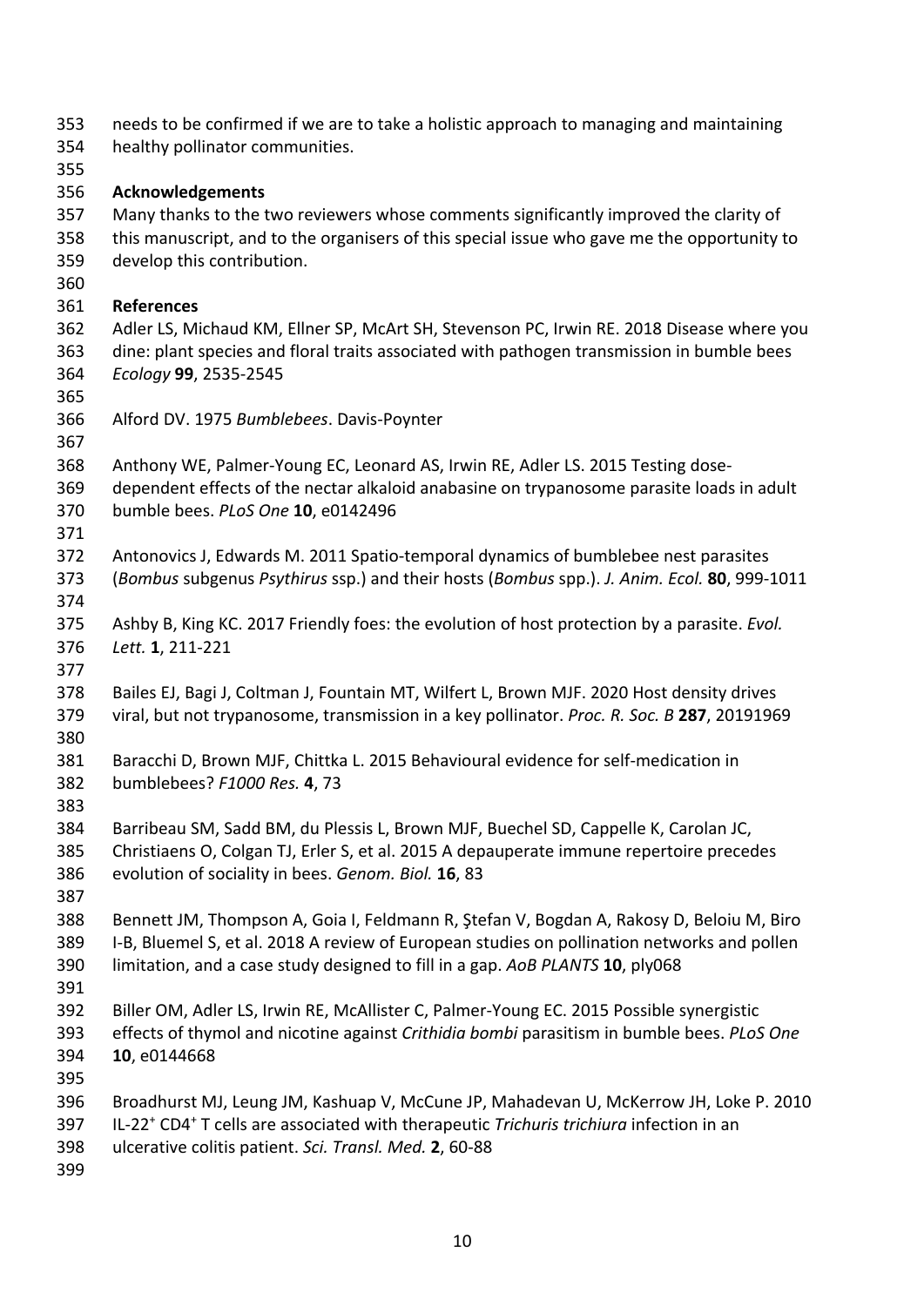| 353 | needs to be confirmed if we are to take a holistic approach to managing and maintaining                         |
|-----|-----------------------------------------------------------------------------------------------------------------|
| 354 | healthy pollinator communities.                                                                                 |
| 355 |                                                                                                                 |
| 356 | <b>Acknowledgements</b>                                                                                         |
| 357 | Many thanks to the two reviewers whose comments significantly improved the clarity of                           |
| 358 | this manuscript, and to the organisers of this special issue who gave me the opportunity to                     |
| 359 | develop this contribution.                                                                                      |
| 360 |                                                                                                                 |
| 361 | <b>References</b>                                                                                               |
| 362 | Adler LS, Michaud KM, Ellner SP, McArt SH, Stevenson PC, Irwin RE. 2018 Disease where you                       |
| 363 | dine: plant species and floral traits associated with pathogen transmission in bumble bees                      |
| 364 | Ecology 99, 2535-2545                                                                                           |
| 365 |                                                                                                                 |
| 366 | Alford DV. 1975 Bumblebees. Davis-Poynter                                                                       |
| 367 |                                                                                                                 |
| 368 | Anthony WE, Palmer-Young EC, Leonard AS, Irwin RE, Adler LS. 2015 Testing dose-                                 |
| 369 | dependent effects of the nectar alkaloid anabasine on trypanosome parasite loads in adult                       |
| 370 | bumble bees. PLoS One 10, e0142496                                                                              |
| 371 |                                                                                                                 |
| 372 | Antonovics J, Edwards M. 2011 Spatio-temporal dynamics of bumblebee nest parasites                              |
| 373 | (Bombus subgenus Psythirus ssp.) and their hosts (Bombus spp.). J. Anim. Ecol. 80, 999-1011                     |
| 374 |                                                                                                                 |
| 375 | Ashby B, King KC. 2017 Friendly foes: the evolution of host protection by a parasite. Evol.                     |
| 376 | Lett. 1, 211-221                                                                                                |
| 377 |                                                                                                                 |
| 378 | Bailes EJ, Bagi J, Coltman J, Fountain MT, Wilfert L, Brown MJF. 2020 Host density drives                       |
| 379 | viral, but not trypanosome, transmission in a key pollinator. Proc. R. Soc. B 287, 20191969                     |
| 380 |                                                                                                                 |
| 381 | Baracchi D, Brown MJF, Chittka L. 2015 Behavioural evidence for self-medication in                              |
| 382 | bumblebees? F1000 Res. 4, 73                                                                                    |
| 383 |                                                                                                                 |
| 384 | Barribeau SM, Sadd BM, du Plessis L, Brown MJF, Buechel SD, Cappelle K, Carolan JC,                             |
| 385 | Christiaens O, Colgan TJ, Erler S, et al. 2015 A depauperate immune repertoire precedes                         |
| 386 | evolution of sociality in bees. Genom. Biol. 16, 83                                                             |
| 387 |                                                                                                                 |
| 388 | Bennett JM, Thompson A, Goia I, Feldmann R, Stefan V, Bogdan A, Rakosy D, Beloiu M, Biro                        |
| 389 | I-B, Bluemel S, et al. 2018 A review of European studies on pollination networks and pollen                     |
| 390 | limitation, and a case study designed to fill in a gap. AoB PLANTS 10, ply068                                   |
| 391 |                                                                                                                 |
| 392 | Biller OM, Adler LS, Irwin RE, McAllister C, Palmer-Young EC. 2015 Possible synergistic                         |
| 393 | effects of thymol and nicotine against Crithidia bombi parasitism in bumble bees. PLoS One                      |
| 394 | 10, e0144668                                                                                                    |
| 395 |                                                                                                                 |
| 396 | Broadhurst MJ, Leung JM, Kashuap V, McCune JP, Mahadevan U, McKerrow JH, Loke P. 2010                           |
| 397 | IL-22 <sup>+</sup> CD4 <sup>+</sup> T cells are associated with therapeutic Trichuris trichiura infection in an |
| 398 | ulcerative colitis patient. Sci. Transl. Med. 2, 60-88                                                          |
| 399 |                                                                                                                 |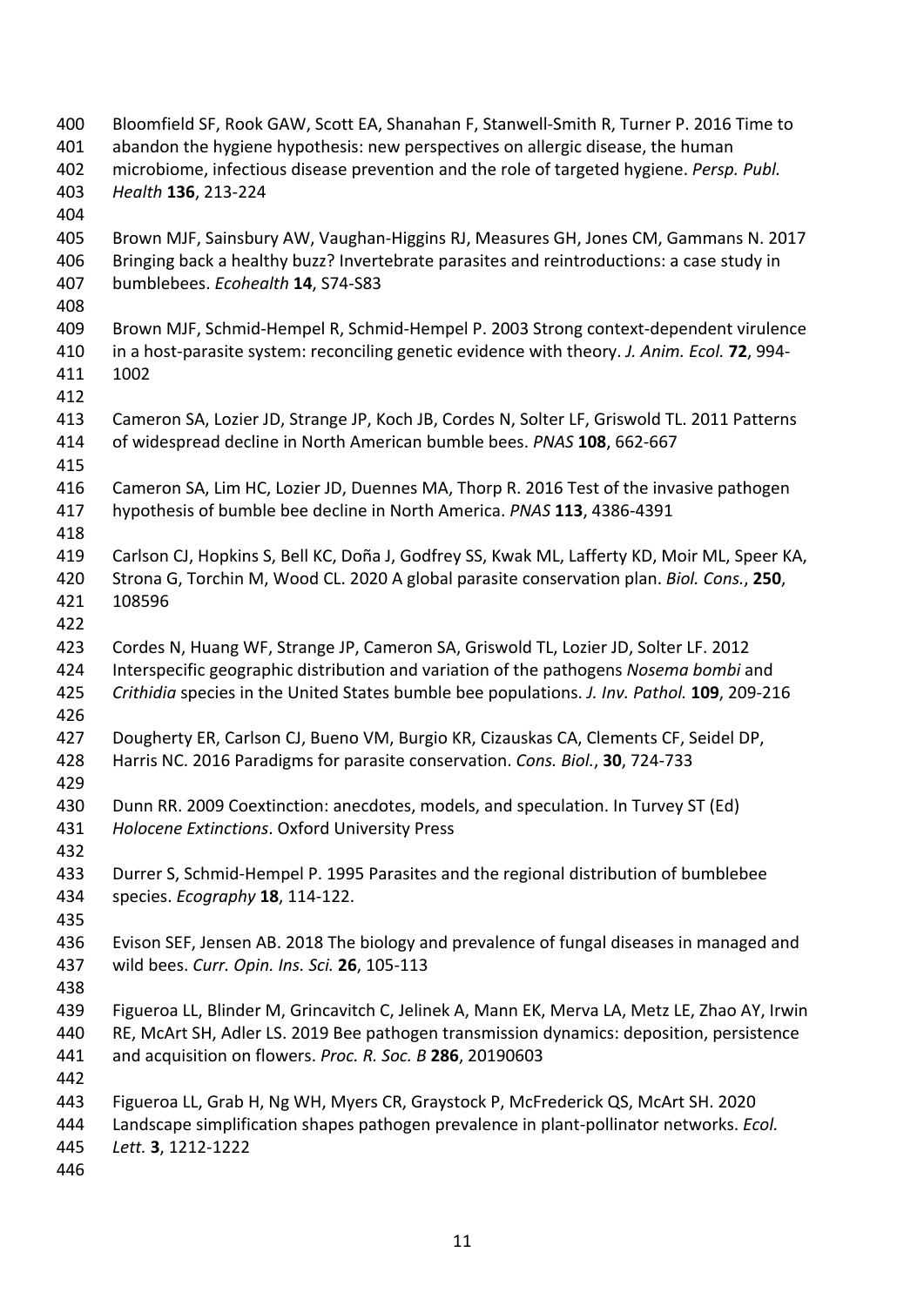Bloomfield SF, Rook GAW, Scott EA, Shanahan F, Stanwell-Smith R, Turner P. 2016 Time to abandon the hygiene hypothesis: new perspectives on allergic disease, the human microbiome, infectious disease prevention and the role of targeted hygiene. *Persp. Publ. Health* **136**, 213-224 Brown MJF, Sainsbury AW, Vaughan-Higgins RJ, Measures GH, Jones CM, Gammans N. 2017 Bringing back a healthy buzz? Invertebrate parasites and reintroductions: a case study in bumblebees. *Ecohealth* **14**, S74-S83 Brown MJF, Schmid-Hempel R, Schmid-Hempel P. 2003 Strong context-dependent virulence in a host-parasite system: reconciling genetic evidence with theory. *J. Anim. Ecol.* **72**, 994- 1002 Cameron SA, Lozier JD, Strange JP, Koch JB, Cordes N, Solter LF, Griswold TL. 2011 Patterns of widespread decline in North American bumble bees. *PNAS* **108**, 662-667 Cameron SA, Lim HC, Lozier JD, Duennes MA, Thorp R. 2016 Test of the invasive pathogen hypothesis of bumble bee decline in North America. *PNAS* **113**, 4386-4391 Carlson CJ, Hopkins S, Bell KC, Doña J, Godfrey SS, Kwak ML, Lafferty KD, Moir ML, Speer KA, Strona G, Torchin M, Wood CL. 2020 A global parasite conservation plan. *Biol. Cons.*, **250**, 108596 Cordes N, Huang WF, Strange JP, Cameron SA, Griswold TL, Lozier JD, Solter LF. 2012 Interspecific geographic distribution and variation of the pathogens *Nosema bombi* and *Crithidia* species in the United States bumble bee populations. *J. Inv. Pathol.* **109**, 209-216 Dougherty ER, Carlson CJ, Bueno VM, Burgio KR, Cizauskas CA, Clements CF, Seidel DP, Harris NC. 2016 Paradigms for parasite conservation. *Cons. Biol.*, **30**, 724-733 Dunn RR. 2009 Coextinction: anecdotes, models, and speculation. In Turvey ST (Ed) *Holocene Extinctions*. Oxford University Press Durrer S, Schmid-Hempel P. 1995 Parasites and the regional distribution of bumblebee species. *Ecography* **18**, 114-122. Evison SEF, Jensen AB. 2018 The biology and prevalence of fungal diseases in managed and wild bees. *Curr. Opin. Ins. Sci.* **26**, 105-113 Figueroa LL, Blinder M, Grincavitch C, Jelinek A, Mann EK, Merva LA, Metz LE, Zhao AY, Irwin RE, McArt SH, Adler LS. 2019 Bee pathogen transmission dynamics: deposition, persistence and acquisition on flowers. *Proc. R. Soc. B* **286**, 20190603 Figueroa LL, Grab H, Ng WH, Myers CR, Graystock P, McFrederick QS, McArt SH. 2020 Landscape simplification shapes pathogen prevalence in plant-pollinator networks. *Ecol. Lett.* **3**, 1212-1222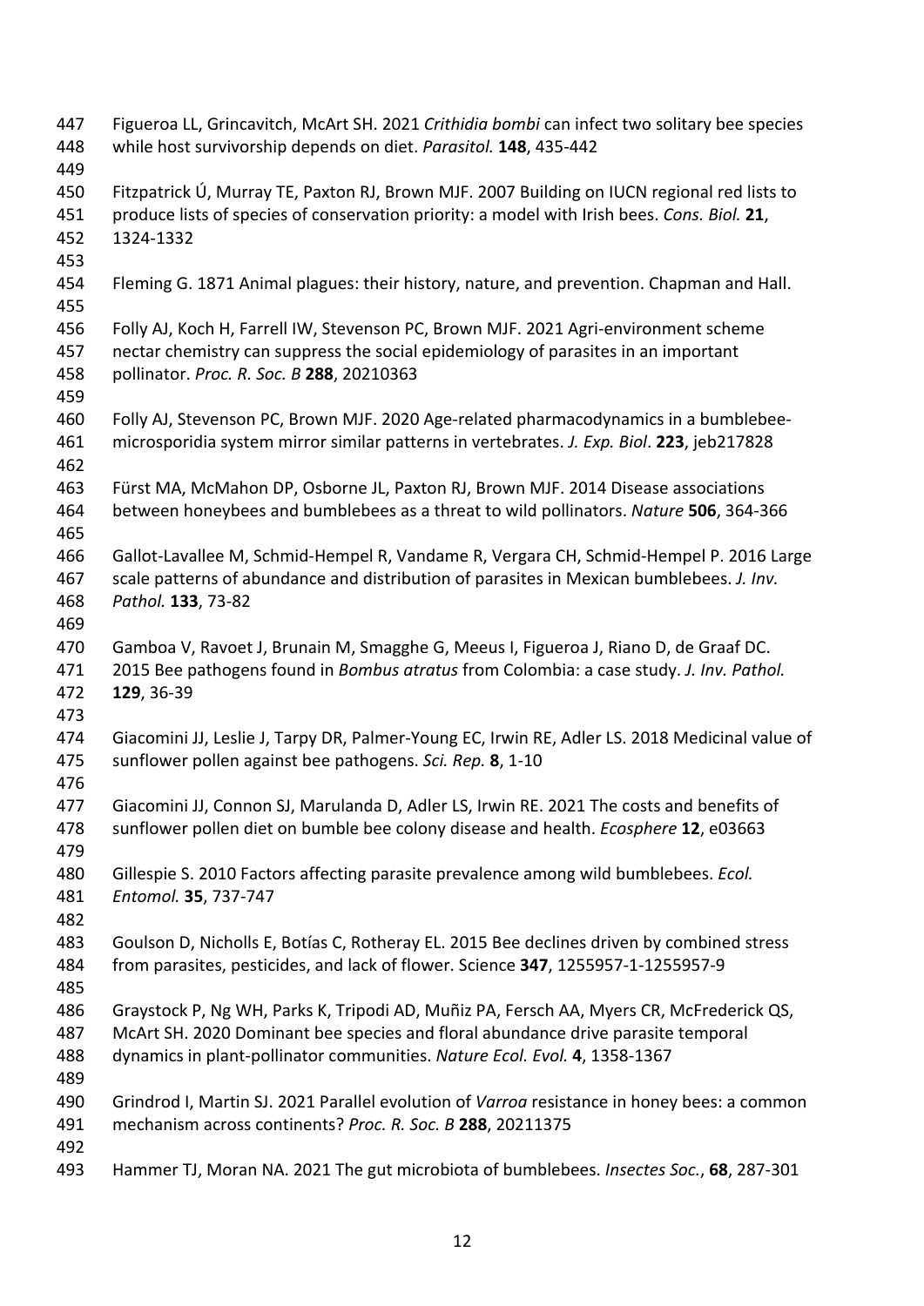Figueroa LL, Grincavitch, McArt SH. 2021 *Crithidia bombi* can infect two solitary bee species while host survivorship depends on diet. *Parasitol.* **148**, 435-442 Fitzpatrick Ú, Murray TE, Paxton RJ, Brown MJF. 2007 Building on IUCN regional red lists to produce lists of species of conservation priority: a model with Irish bees. *Cons. Biol.* **21**, 1324-1332 Fleming G. 1871 Animal plagues: their history, nature, and prevention. Chapman and Hall. Folly AJ, Koch H, Farrell IW, Stevenson PC, Brown MJF. 2021 Agri-environment scheme nectar chemistry can suppress the social epidemiology of parasites in an important pollinator. *Proc. R. Soc. B* **288**, 20210363 Folly AJ, Stevenson PC, Brown MJF. 2020 Age-related pharmacodynamics in a bumblebee- microsporidia system mirror similar patterns in vertebrates. *J. Exp. Biol*. **223**, jeb217828 Fürst MA, McMahon DP, Osborne JL, Paxton RJ, Brown MJF. 2014 Disease associations between honeybees and bumblebees as a threat to wild pollinators. *Nature* **506**, 364-366 Gallot-Lavallee M, Schmid-Hempel R, Vandame R, Vergara CH, Schmid-Hempel P. 2016 Large scale patterns of abundance and distribution of parasites in Mexican bumblebees. *J. Inv. Pathol.* **133**, 73-82 Gamboa V, Ravoet J, Brunain M, Smagghe G, Meeus I, Figueroa J, Riano D, de Graaf DC. 2015 Bee pathogens found in *Bombus atratus* from Colombia: a case study. *J. Inv. Pathol.* **129**, 36-39 Giacomini JJ, Leslie J, Tarpy DR, Palmer-Young EC, Irwin RE, Adler LS. 2018 Medicinal value of sunflower pollen against bee pathogens. *Sci. Rep.* **8**, 1-10 Giacomini JJ, Connon SJ, Marulanda D, Adler LS, Irwin RE. 2021 The costs and benefits of sunflower pollen diet on bumble bee colony disease and health. *Ecosphere* **12**, e03663 Gillespie S. 2010 Factors affecting parasite prevalence among wild bumblebees. *Ecol. Entomol.* **35**, 737-747 Goulson D, Nicholls E, Botías C, Rotheray EL. 2015 Bee declines driven by combined stress from parasites, pesticides, and lack of flower. Science **347**, 1255957-1-1255957-9 Graystock P, Ng WH, Parks K, Tripodi AD, Muñiz PA, Fersch AA, Myers CR, McFrederick QS, McArt SH. 2020 Dominant bee species and floral abundance drive parasite temporal dynamics in plant-pollinator communities. *Nature Ecol. Evol.* **4**, 1358-1367 Grindrod I, Martin SJ. 2021 Parallel evolution of *Varroa* resistance in honey bees: a common mechanism across continents? *Proc. R. Soc. B* **288**, 20211375 Hammer TJ, Moran NA. 2021 The gut microbiota of bumblebees. *Insectes Soc.*, **68**, 287-301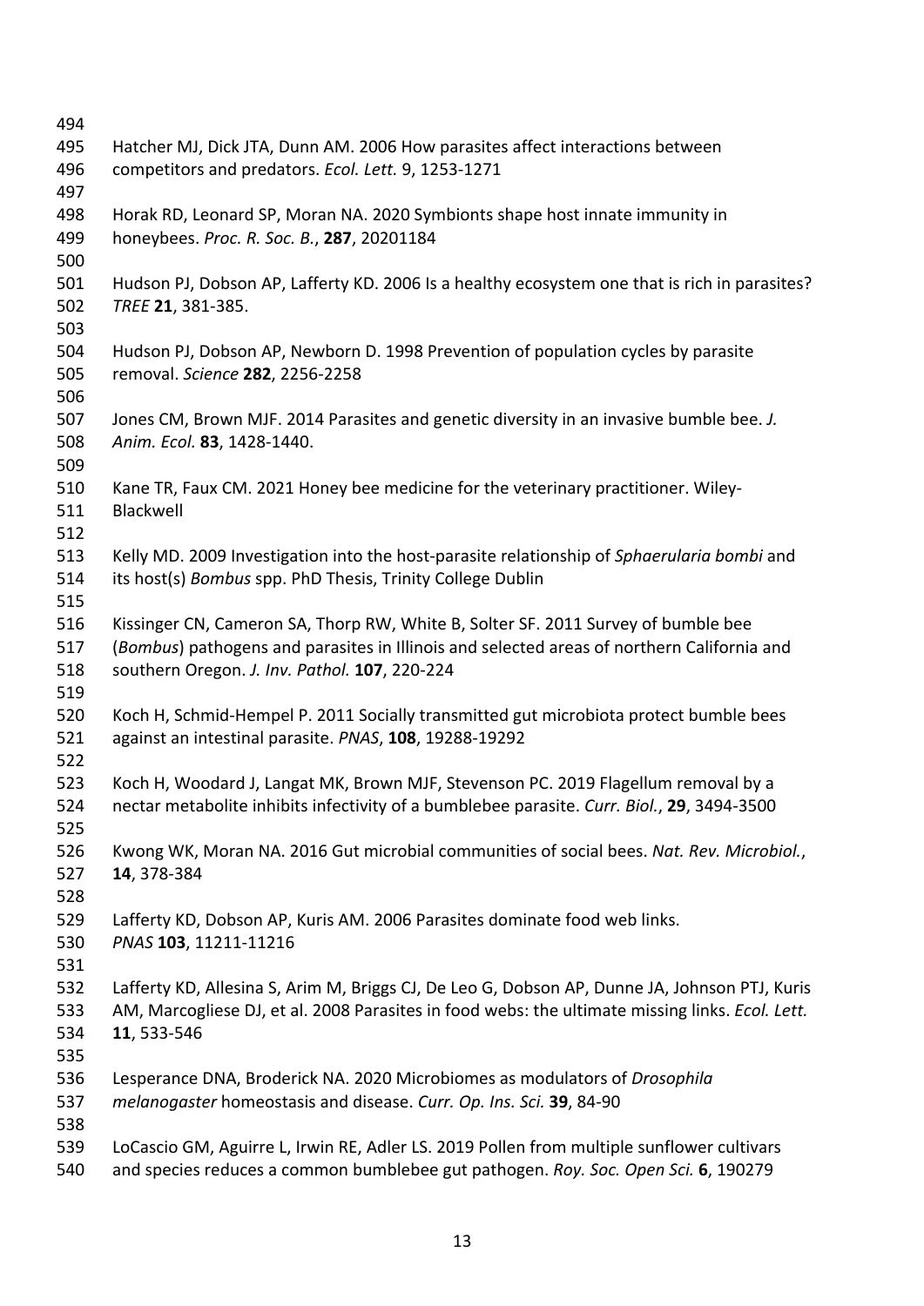| 494 |                                                                                                 |
|-----|-------------------------------------------------------------------------------------------------|
| 495 | Hatcher MJ, Dick JTA, Dunn AM. 2006 How parasites affect interactions between                   |
| 496 | competitors and predators. Ecol. Lett. 9, 1253-1271                                             |
| 497 |                                                                                                 |
| 498 | Horak RD, Leonard SP, Moran NA. 2020 Symbionts shape host innate immunity in                    |
| 499 | honeybees. Proc. R. Soc. B., 287, 20201184                                                      |
| 500 |                                                                                                 |
| 501 | Hudson PJ, Dobson AP, Lafferty KD. 2006 Is a healthy ecosystem one that is rich in parasites?   |
| 502 | TREE 21, 381-385.                                                                               |
| 503 |                                                                                                 |
| 504 | Hudson PJ, Dobson AP, Newborn D. 1998 Prevention of population cycles by parasite               |
| 505 | removal. Science 282, 2256-2258                                                                 |
| 506 |                                                                                                 |
| 507 | Jones CM, Brown MJF. 2014 Parasites and genetic diversity in an invasive bumble bee. J.         |
| 508 | Anim. Ecol. 83, 1428-1440.                                                                      |
| 509 |                                                                                                 |
| 510 | Kane TR, Faux CM. 2021 Honey bee medicine for the veterinary practitioner. Wiley-               |
| 511 | Blackwell                                                                                       |
| 512 |                                                                                                 |
| 513 | Kelly MD. 2009 Investigation into the host-parasite relationship of Sphaerularia bombi and      |
| 514 | its host(s) Bombus spp. PhD Thesis, Trinity College Dublin                                      |
| 515 |                                                                                                 |
| 516 | Kissinger CN, Cameron SA, Thorp RW, White B, Solter SF. 2011 Survey of bumble bee               |
| 517 | (Bombus) pathogens and parasites in Illinois and selected areas of northern California and      |
| 518 | southern Oregon. J. Inv. Pathol. 107, 220-224                                                   |
| 519 |                                                                                                 |
| 520 | Koch H, Schmid-Hempel P. 2011 Socially transmitted gut microbiota protect bumble bees           |
| 521 | against an intestinal parasite. PNAS, 108, 19288-19292                                          |
| 522 |                                                                                                 |
| 523 | Koch H, Woodard J, Langat MK, Brown MJF, Stevenson PC. 2019 Flagellum removal by a              |
| 524 | nectar metabolite inhibits infectivity of a bumblebee parasite. Curr. Biol., 29, 3494-3500      |
| 525 |                                                                                                 |
| 526 | Kwong WK, Moran NA. 2016 Gut microbial communities of social bees. Nat. Rev. Microbiol.,        |
| 527 | 14, 378-384                                                                                     |
| 528 |                                                                                                 |
| 529 | Lafferty KD, Dobson AP, Kuris AM. 2006 Parasites dominate food web links.                       |
| 530 | PNAS 103, 11211-11216                                                                           |
| 531 |                                                                                                 |
| 532 | Lafferty KD, Allesina S, Arim M, Briggs CJ, De Leo G, Dobson AP, Dunne JA, Johnson PTJ, Kuris   |
| 533 | AM, Marcogliese DJ, et al. 2008 Parasites in food webs: the ultimate missing links. Ecol. Lett. |
| 534 | 11, 533-546                                                                                     |
| 535 |                                                                                                 |
| 536 | Lesperance DNA, Broderick NA. 2020 Microbiomes as modulators of Drosophila                      |
| 537 | melanogaster homeostasis and disease. Curr. Op. Ins. Sci. 39, 84-90                             |
| 538 |                                                                                                 |
| 539 | LoCascio GM, Aguirre L, Irwin RE, Adler LS. 2019 Pollen from multiple sunflower cultivars       |
| 540 | and species reduces a common bumblebee gut pathogen. Roy. Soc. Open Sci. 6, 190279              |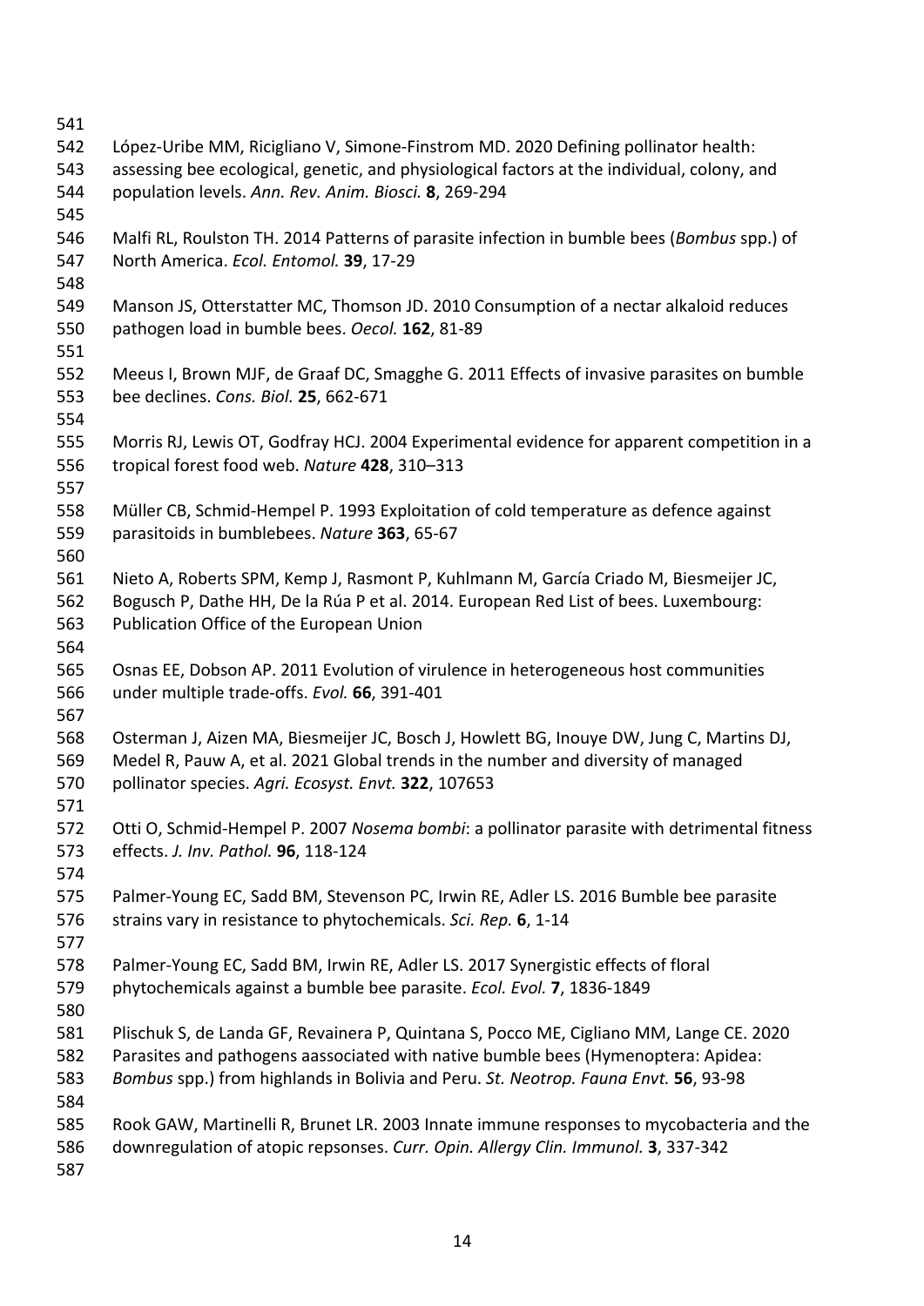| 541 |                                                                                             |
|-----|---------------------------------------------------------------------------------------------|
| 542 | López-Uribe MM, Ricigliano V, Simone-Finstrom MD. 2020 Defining pollinator health:          |
| 543 | assessing bee ecological, genetic, and physiological factors at the individual, colony, and |
| 544 | population levels. Ann. Rev. Anim. Biosci. 8, 269-294                                       |
| 545 |                                                                                             |
| 546 | Malfi RL, Roulston TH. 2014 Patterns of parasite infection in bumble bees (Bombus spp.) of  |
| 547 | North America. Ecol. Entomol. 39, 17-29                                                     |
| 548 |                                                                                             |
| 549 | Manson JS, Otterstatter MC, Thomson JD. 2010 Consumption of a nectar alkaloid reduces       |
| 550 | pathogen load in bumble bees. Oecol. 162, 81-89                                             |
| 551 |                                                                                             |
| 552 | Meeus I, Brown MJF, de Graaf DC, Smagghe G. 2011 Effects of invasive parasites on bumble    |
| 553 | bee declines. Cons. Biol. 25, 662-671                                                       |
| 554 |                                                                                             |
| 555 | Morris RJ, Lewis OT, Godfray HCJ. 2004 Experimental evidence for apparent competition in a  |
| 556 | tropical forest food web. Nature 428, 310-313                                               |
| 557 |                                                                                             |
| 558 | Müller CB, Schmid-Hempel P. 1993 Exploitation of cold temperature as defence against        |
| 559 | parasitoids in bumblebees. Nature 363, 65-67                                                |
| 560 |                                                                                             |
| 561 | Nieto A, Roberts SPM, Kemp J, Rasmont P, Kuhlmann M, García Criado M, Biesmeijer JC,        |
| 562 | Bogusch P, Dathe HH, De la Rúa P et al. 2014. European Red List of bees. Luxembourg:        |
| 563 | Publication Office of the European Union                                                    |
| 564 |                                                                                             |
| 565 | Osnas EE, Dobson AP. 2011 Evolution of virulence in heterogeneous host communities          |
| 566 | under multiple trade-offs. Evol. 66, 391-401                                                |
| 567 |                                                                                             |
| 568 | Osterman J, Aizen MA, Biesmeijer JC, Bosch J, Howlett BG, Inouye DW, Jung C, Martins DJ,    |
| 569 | Medel R, Pauw A, et al. 2021 Global trends in the number and diversity of managed           |
| 570 | pollinator species. Agri. Ecosyst. Envt. 322, 107653                                        |
| 571 |                                                                                             |
| 572 | Otti O, Schmid-Hempel P. 2007 Nosema bombi: a pollinator parasite with detrimental fitness  |
| 573 | effects. J. Inv. Pathol. 96, 118-124                                                        |
| 574 |                                                                                             |
| 575 | Palmer-Young EC, Sadd BM, Stevenson PC, Irwin RE, Adler LS. 2016 Bumble bee parasite        |
| 576 | strains vary in resistance to phytochemicals. Sci. Rep. 6, 1-14                             |
| 577 |                                                                                             |
| 578 | Palmer-Young EC, Sadd BM, Irwin RE, Adler LS. 2017 Synergistic effects of floral            |
| 579 | phytochemicals against a bumble bee parasite. Ecol. Evol. 7, 1836-1849                      |
| 580 |                                                                                             |
| 581 | Plischuk S, de Landa GF, Revainera P, Quintana S, Pocco ME, Cigliano MM, Lange CE. 2020     |
|     |                                                                                             |
| 582 | Parasites and pathogens aassociated with native bumble bees (Hymenoptera: Apidea:           |
| 583 | Bombus spp.) from highlands in Bolivia and Peru. St. Neotrop. Fauna Envt. 56, 93-98         |
| 584 |                                                                                             |
| 585 | Rook GAW, Martinelli R, Brunet LR. 2003 Innate immune responses to mycobacteria and the     |
| 586 | downregulation of atopic repsonses. Curr. Opin. Allergy Clin. Immunol. 3, 337-342           |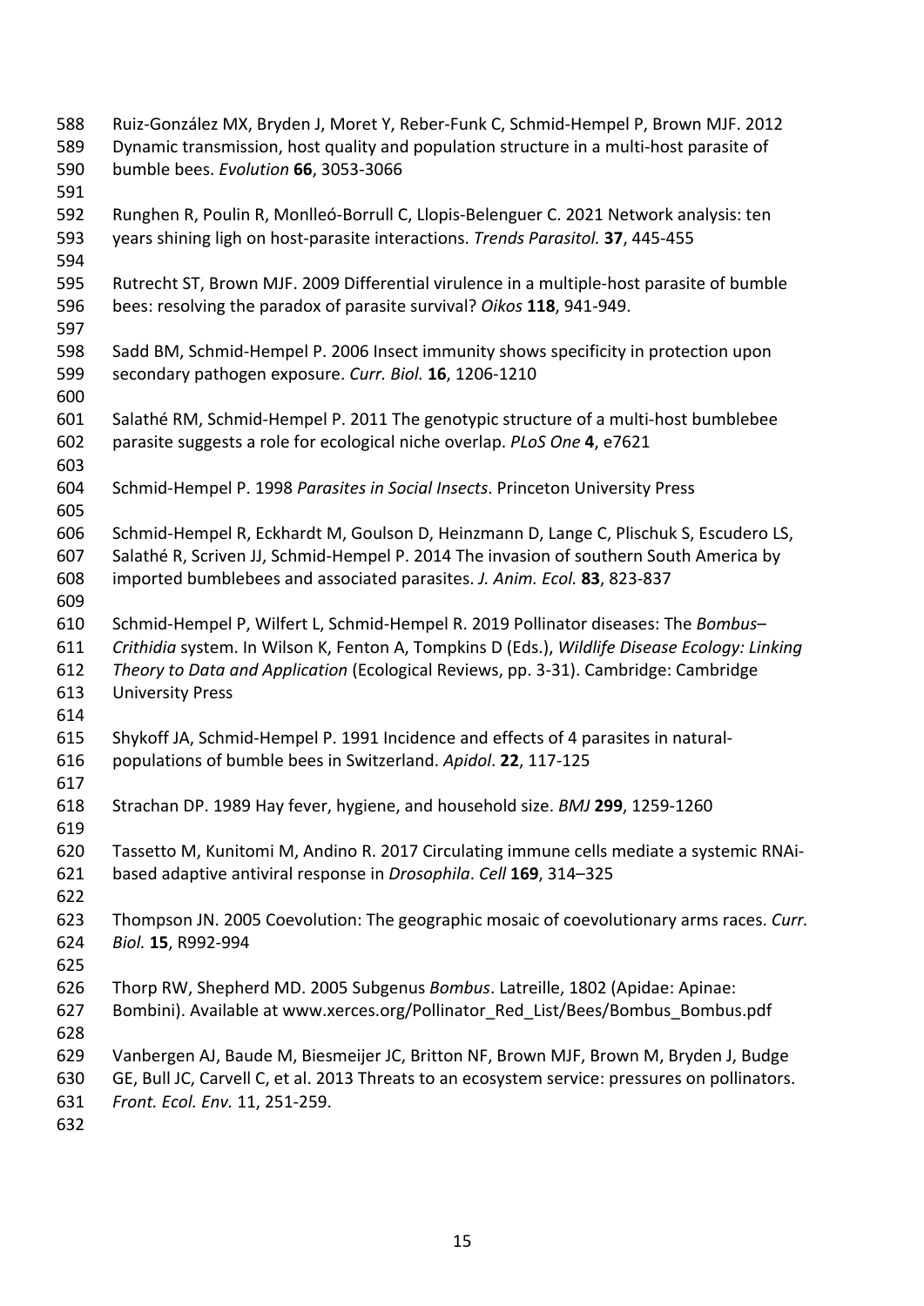| 588 | Ruiz-González MX, Bryden J, Moret Y, Reber-Funk C, Schmid-Hempel P, Brown MJF. 2012            |
|-----|------------------------------------------------------------------------------------------------|
| 589 | Dynamic transmission, host quality and population structure in a multi-host parasite of        |
| 590 | bumble bees. Evolution 66, 3053-3066                                                           |
| 591 |                                                                                                |
| 592 | Runghen R, Poulin R, Monlleó-Borrull C, Llopis-Belenguer C. 2021 Network analysis: ten         |
| 593 | years shining ligh on host-parasite interactions. Trends Parasitol. 37, 445-455                |
| 594 |                                                                                                |
| 595 | Rutrecht ST, Brown MJF. 2009 Differential virulence in a multiple-host parasite of bumble      |
| 596 | bees: resolving the paradox of parasite survival? Oikos 118, 941-949.                          |
| 597 |                                                                                                |
| 598 | Sadd BM, Schmid-Hempel P. 2006 Insect immunity shows specificity in protection upon            |
| 599 | secondary pathogen exposure. Curr. Biol. 16, 1206-1210                                         |
| 600 |                                                                                                |
| 601 | Salathé RM, Schmid-Hempel P. 2011 The genotypic structure of a multi-host bumblebee            |
| 602 | parasite suggests a role for ecological niche overlap. PLoS One 4, e7621                       |
| 603 |                                                                                                |
| 604 | Schmid-Hempel P. 1998 Parasites in Social Insects. Princeton University Press                  |
| 605 |                                                                                                |
| 606 | Schmid-Hempel R, Eckhardt M, Goulson D, Heinzmann D, Lange C, Plischuk S, Escudero LS,         |
| 607 | Salathé R, Scriven JJ, Schmid-Hempel P. 2014 The invasion of southern South America by         |
| 608 | imported bumblebees and associated parasites. J. Anim. Ecol. 83, 823-837                       |
| 609 |                                                                                                |
| 610 | Schmid-Hempel P, Wilfert L, Schmid-Hempel R. 2019 Pollinator diseases: The Bombus-             |
| 611 | Crithidia system. In Wilson K, Fenton A, Tompkins D (Eds.), Wildlife Disease Ecology: Linking  |
| 612 | Theory to Data and Application (Ecological Reviews, pp. 3-31). Cambridge: Cambridge            |
| 613 | <b>University Press</b>                                                                        |
| 614 |                                                                                                |
| 615 | Shykoff JA, Schmid-Hempel P. 1991 Incidence and effects of 4 parasites in natural-             |
| 616 | populations of bumble bees in Switzerland. Apidol. 22, 117-125                                 |
| 617 |                                                                                                |
| 618 | Strachan DP. 1989 Hay fever, hygiene, and household size. BMJ 299, 1259-1260                   |
| 619 |                                                                                                |
| 620 | Tassetto M, Kunitomi M, Andino R. 2017 Circulating immune cells mediate a systemic RNAi-       |
| 621 | based adaptive antiviral response in Drosophila. Cell 169, 314-325                             |
| 622 |                                                                                                |
| 623 | Thompson JN. 2005 Coevolution: The geographic mosaic of coevolutionary arms races. Curr.       |
| 624 | Biol. 15, R992-994                                                                             |
| 625 |                                                                                                |
| 626 | Thorp RW, Shepherd MD. 2005 Subgenus Bombus. Latreille, 1802 (Apidae: Apinae:                  |
| 627 | Bombini). Available at www.xerces.org/Pollinator Red List/Bees/Bombus Bombus.pdf               |
| 628 |                                                                                                |
| 629 | Vanbergen AJ, Baude M, Biesmeijer JC, Britton NF, Brown MJF, Brown M, Bryden J, Budge          |
| 630 | GE, Bull JC, Carvell C, et al. 2013 Threats to an ecosystem service: pressures on pollinators. |
| 631 | Front. Ecol. Env. 11, 251-259.                                                                 |
| 632 |                                                                                                |
|     |                                                                                                |